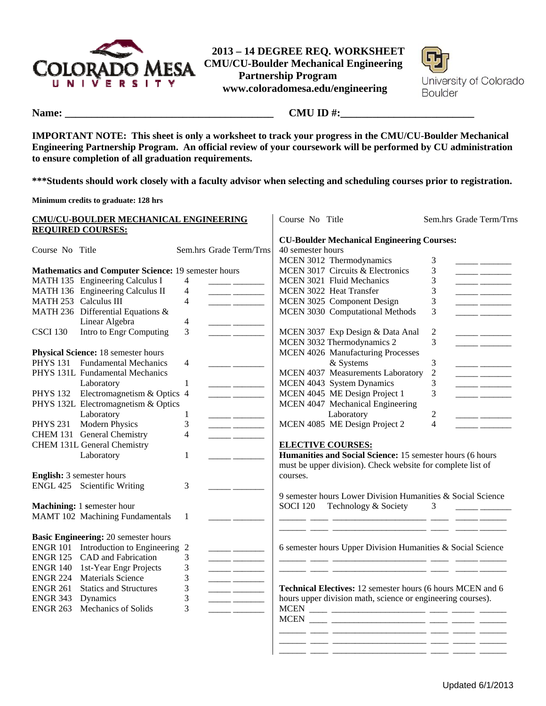

 **2013 – 14 DEGREE REQ. WORKSHEET CMU/CU-Boulder Mechanical Engineering Partnership Program www.coloradomesa.edu/engineering** 



**Name: \_\_\_\_\_\_\_\_\_\_\_\_\_\_\_\_\_\_\_\_\_\_\_\_\_\_\_\_\_\_\_\_\_\_\_\_\_\_\_ CMU ID #:\_\_\_\_\_\_\_\_\_\_\_\_\_\_\_\_\_\_\_\_\_\_\_\_\_** 

**IMPORTANT NOTE: This sheet is only a worksheet to track your progress in the CMU/CU-Boulder Mechanical Engineering Partnership Program. An official review of your coursework will be performed by CU administration to ensure completion of all graduation requirements.**

**\*\*\*Students should work closely with a faculty advisor when selecting and scheduling courses prior to registration.** 

**Minimum credits to graduate: 128 hrs**

|                          | <b>CMU/CU-BOULDER MECHANICAL ENGINEERING</b>        |                                                                                                                        | Course No Title                                             | Sem.hrs Grade Term/Trns                                                                                                                                                                                                                                                                                                                                                                                                          |
|--------------------------|-----------------------------------------------------|------------------------------------------------------------------------------------------------------------------------|-------------------------------------------------------------|----------------------------------------------------------------------------------------------------------------------------------------------------------------------------------------------------------------------------------------------------------------------------------------------------------------------------------------------------------------------------------------------------------------------------------|
| <b>REQUIRED COURSES:</b> |                                                     |                                                                                                                        |                                                             |                                                                                                                                                                                                                                                                                                                                                                                                                                  |
|                          |                                                     |                                                                                                                        | <b>CU-Boulder Mechanical Engineering Courses:</b>           |                                                                                                                                                                                                                                                                                                                                                                                                                                  |
| Course No Title          |                                                     | Sem.hrs Grade Term/Trns                                                                                                | 40 semester hours                                           |                                                                                                                                                                                                                                                                                                                                                                                                                                  |
|                          |                                                     |                                                                                                                        | MCEN 3012 Thermodynamics                                    | 3<br><u> Liberal Communication</u>                                                                                                                                                                                                                                                                                                                                                                                               |
|                          | Mathematics and Computer Science: 19 semester hours |                                                                                                                        | MCEN 3017 Circuits & Electronics                            | 3                                                                                                                                                                                                                                                                                                                                                                                                                                |
|                          | MATH 135 Engineering Calculus I                     | 4                                                                                                                      | MCEN 3021 Fluid Mechanics                                   | 3<br>$\overline{\phantom{a}}$                                                                                                                                                                                                                                                                                                                                                                                                    |
|                          | MATH 136 Engineering Calculus II                    | $\overline{4}$<br><u> 1989 - Johann Barnett, fransk konge</u>                                                          | MCEN 3022 Heat Transfer                                     | 3                                                                                                                                                                                                                                                                                                                                                                                                                                |
|                          | MATH 253 Calculus III                               | $\overline{4}$<br>$\overline{\phantom{a}}$                                                                             | MCEN 3025 Component Design                                  | 3                                                                                                                                                                                                                                                                                                                                                                                                                                |
|                          | MATH 236 Differential Equations &                   |                                                                                                                        | MCEN 3030 Computational Methods                             | 3<br>$\frac{1}{1-\frac{1}{2}}\left( \frac{1}{1-\frac{1}{2}}\right) ^{2}+\frac{1}{2}\left( \frac{1}{1-\frac{1}{2}}\right) ^{2}+\frac{1}{2}\left( \frac{1}{1-\frac{1}{2}}\right) ^{2}+\frac{1}{2}\left( \frac{1}{1-\frac{1}{2}}\right) ^{2}+\frac{1}{2}\left( \frac{1}{1-\frac{1}{2}}\right) ^{2}+\frac{1}{2}\left( \frac{1}{1-\frac{1}{2}}\right) ^{2}+\frac{1}{2}\left( \frac{1}{1-\frac{1}{2}}\right) ^{2}+\frac{1}{2}\left( \$ |
|                          | Linear Algebra                                      | $\overline{4}$                                                                                                         |                                                             |                                                                                                                                                                                                                                                                                                                                                                                                                                  |
| <b>CSCI 130</b>          | Intro to Engr Computing                             | 3                                                                                                                      | MCEN 3037 Exp Design & Data Anal                            | $\overline{2}$                                                                                                                                                                                                                                                                                                                                                                                                                   |
|                          |                                                     |                                                                                                                        | MCEN 3032 Thermodynamics 2                                  | 3                                                                                                                                                                                                                                                                                                                                                                                                                                |
|                          | Physical Science: 18 semester hours                 |                                                                                                                        | MCEN 4026 Manufacturing Processes                           |                                                                                                                                                                                                                                                                                                                                                                                                                                  |
|                          | PHYS 131 Fundamental Mechanics                      | 4                                                                                                                      | & Systems                                                   | 3                                                                                                                                                                                                                                                                                                                                                                                                                                |
|                          | PHYS 131L Fundamental Mechanics                     |                                                                                                                        | MCEN 4037 Measurements Laboratory                           | $\overline{2}$<br>$\overline{\phantom{a}}$                                                                                                                                                                                                                                                                                                                                                                                       |
|                          | Laboratory                                          | 1                                                                                                                      | MCEN 4043 System Dynamics                                   | 3                                                                                                                                                                                                                                                                                                                                                                                                                                |
|                          | PHYS 132 Electromagnetism & Optics 4                |                                                                                                                        | MCEN 4045 ME Design Project 1                               | 3                                                                                                                                                                                                                                                                                                                                                                                                                                |
|                          | PHYS 132L Electromagnetism & Optics                 |                                                                                                                        | MCEN 4047 Mechanical Engineering                            |                                                                                                                                                                                                                                                                                                                                                                                                                                  |
|                          | Laboratory                                          | $\mathbf{1}$                                                                                                           | Laboratory                                                  | $\overline{c}$                                                                                                                                                                                                                                                                                                                                                                                                                   |
| <b>PHYS 231</b>          | <b>Modern Physics</b>                               | 3                                                                                                                      | MCEN 4085 ME Design Project 2                               | 4                                                                                                                                                                                                                                                                                                                                                                                                                                |
|                          | CHEM 131 General Chemistry                          | $\overline{\mathcal{L}}$                                                                                               |                                                             |                                                                                                                                                                                                                                                                                                                                                                                                                                  |
|                          | CHEM 131L General Chemistry                         |                                                                                                                        | <b>ELECTIVE COURSES:</b>                                    |                                                                                                                                                                                                                                                                                                                                                                                                                                  |
|                          | Laboratory                                          | $\mathbf{1}$                                                                                                           | Humanities and Social Science: 15 semester hours (6 hours   |                                                                                                                                                                                                                                                                                                                                                                                                                                  |
|                          |                                                     |                                                                                                                        | must be upper division). Check website for complete list of |                                                                                                                                                                                                                                                                                                                                                                                                                                  |
|                          | <b>English:</b> 3 semester hours                    |                                                                                                                        | courses.                                                    |                                                                                                                                                                                                                                                                                                                                                                                                                                  |
|                          | ENGL 425 Scientific Writing                         | 3                                                                                                                      |                                                             |                                                                                                                                                                                                                                                                                                                                                                                                                                  |
|                          |                                                     |                                                                                                                        | 9 semester hours Lower Division Humanities & Social Science |                                                                                                                                                                                                                                                                                                                                                                                                                                  |
|                          | Machining: 1 semester hour                          |                                                                                                                        | <b>SOCI 120</b><br>Technology & Society                     | 3                                                                                                                                                                                                                                                                                                                                                                                                                                |
|                          | <b>MAMT 102 Machining Fundamentals</b>              | $\mathbf{1}$                                                                                                           |                                                             |                                                                                                                                                                                                                                                                                                                                                                                                                                  |
|                          |                                                     |                                                                                                                        |                                                             |                                                                                                                                                                                                                                                                                                                                                                                                                                  |
|                          | Basic Engineering: 20 semester hours                |                                                                                                                        |                                                             |                                                                                                                                                                                                                                                                                                                                                                                                                                  |
|                          | ENGR 101 Introduction to Engineering 2              | <u> 1989 - John Harry John Harry Harry Harry Harry Harry Harry Harry Harry Harry Harry Harry Harry Harry Harry Har</u> | 6 semester hours Upper Division Humanities & Social Science |                                                                                                                                                                                                                                                                                                                                                                                                                                  |
|                          | ENGR 125 CAD and Fabrication                        | 3                                                                                                                      |                                                             |                                                                                                                                                                                                                                                                                                                                                                                                                                  |
| <b>ENGR 140</b>          | 1st-Year Engr Projects                              | 3                                                                                                                      |                                                             |                                                                                                                                                                                                                                                                                                                                                                                                                                  |
|                          | <b>ENGR 224 Materials Science</b>                   | 3                                                                                                                      |                                                             |                                                                                                                                                                                                                                                                                                                                                                                                                                  |
| <b>ENGR 261</b>          | <b>Statics and Structures</b>                       | 3                                                                                                                      | Technical Electives: 12 semester hours (6 hours MCEN and 6  |                                                                                                                                                                                                                                                                                                                                                                                                                                  |
| <b>ENGR 343</b>          | Dynamics                                            | 3                                                                                                                      | hours upper division math, science or engineering courses). |                                                                                                                                                                                                                                                                                                                                                                                                                                  |
| <b>ENGR 263</b>          | Mechanics of Solids                                 | 3                                                                                                                      |                                                             |                                                                                                                                                                                                                                                                                                                                                                                                                                  |
|                          |                                                     |                                                                                                                        |                                                             |                                                                                                                                                                                                                                                                                                                                                                                                                                  |
|                          |                                                     |                                                                                                                        |                                                             |                                                                                                                                                                                                                                                                                                                                                                                                                                  |

\_\_\_\_\_\_ \_\_\_\_ \_\_\_\_\_\_\_\_\_\_\_\_\_\_\_\_\_\_\_\_\_ \_\_\_\_ \_\_\_\_\_ \_\_\_\_\_\_ \_\_\_\_\_\_ \_\_\_\_ \_\_\_\_\_\_\_\_\_\_\_\_\_\_\_\_\_\_\_\_\_ \_\_\_\_ \_\_\_\_\_ \_\_\_\_\_\_